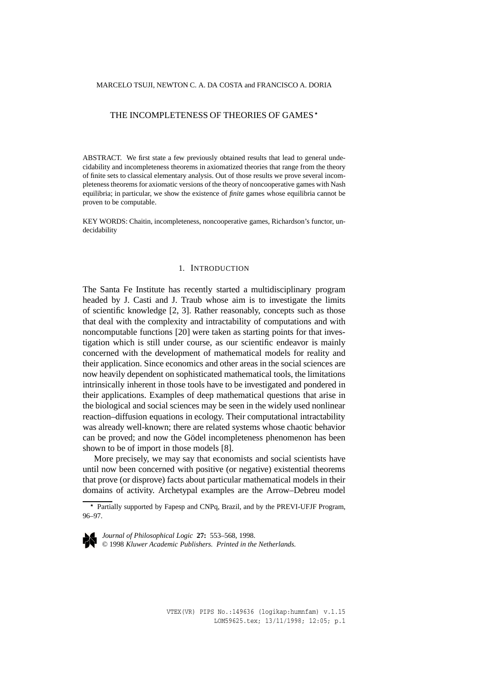#### MARCELO TSUJI, NEWTON C. A. DA COSTA and FRANCISCO A. DORIA

### THE INCOMPLETENESS OF THEORIES OF GAMES *?*

ABSTRACT. We first state a few previously obtained results that lead to general undecidability and incompleteness theorems in axiomatized theories that range from the theory of finite sets to classical elementary analysis. Out of those results we prove several incompleteness theorems for axiomatic versions of the theory of noncooperative games with Nash equilibria; in particular, we show the existence of *finite* games whose equilibria cannot be proven to be computable.

KEY WORDS: Chaitin, incompleteness, noncooperative games, Richardson's functor, undecidability

# 1. INTRODUCTION

The Santa Fe Institute has recently started a multidisciplinary program headed by J. Casti and J. Traub whose aim is to investigate the limits of scientific knowledge [2, 3]. Rather reasonably, concepts such as those that deal with the complexity and intractability of computations and with noncomputable functions [20] were taken as starting points for that investigation which is still under course, as our scientific endeavor is mainly concerned with the development of mathematical models for reality and their application. Since economics and other areas in the social sciences are now heavily dependent on sophisticated mathematical tools, the limitations intrinsically inherent in those tools have to be investigated and pondered in their applications. Examples of deep mathematical questions that arise in the biological and social sciences may be seen in the widely used nonlinear reaction–diffusion equations in ecology. Their computational intractability was already well-known; there are related systems whose chaotic behavior can be proved; and now the Gödel incompleteness phenomenon has been shown to be of import in those models [8].

More precisely, we may say that economists and social scientists have until now been concerned with positive (or negative) existential theorems that prove (or disprove) facts about particular mathematical models in their domains of activity. Archetypal examples are the Arrow–Debreu model

*<sup>?</sup>* Partially supported by Fapesp and CNPq, Brazil, and by the PREVI-UFJF Program, 96–97.



*Journal of Philosophical Logic* **27:** 553–568, 1998. © 1998 *Kluwer Academic Publishers. Printed in the Netherlands.*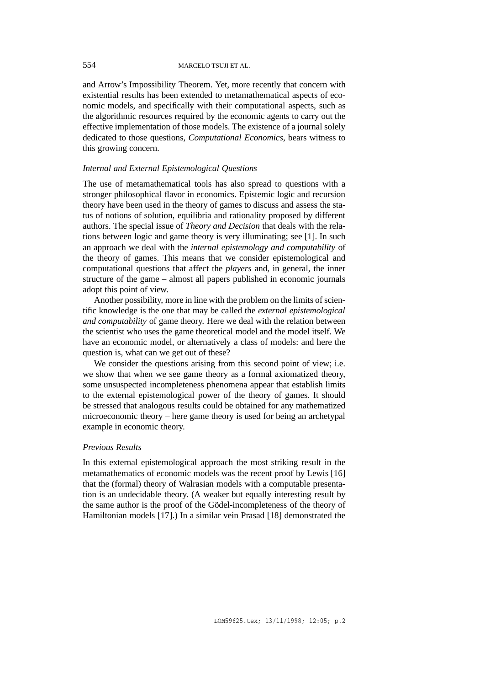and Arrow's Impossibility Theorem. Yet, more recently that concern with existential results has been extended to metamathematical aspects of economic models, and specifically with their computational aspects, such as the algorithmic resources required by the economic agents to carry out the effective implementation of those models. The existence of a journal solely dedicated to those questions, *Computational Economics*, bears witness to this growing concern.

### *Internal and External Epistemological Questions*

The use of metamathematical tools has also spread to questions with a stronger philosophical flavor in economics. Epistemic logic and recursion theory have been used in the theory of games to discuss and assess the status of notions of solution, equilibria and rationality proposed by different authors. The special issue of *Theory and Decision* that deals with the relations between logic and game theory is very illuminating; see [1]. In such an approach we deal with the *internal epistemology and computability* of the theory of games. This means that we consider epistemological and computational questions that affect the *players* and, in general, the inner structure of the game – almost all papers published in economic journals adopt this point of view.

Another possibility, more in line with the problem on the limits of scientific knowledge is the one that may be called the *external epistemological and computability* of game theory. Here we deal with the relation between the scientist who uses the game theoretical model and the model itself. We have an economic model, or alternatively a class of models: and here the question is, what can we get out of these?

We consider the questions arising from this second point of view; *i.e.* we show that when we see game theory as a formal axiomatized theory, some unsuspected incompleteness phenomena appear that establish limits to the external epistemological power of the theory of games. It should be stressed that analogous results could be obtained for any mathematized microeconomic theory – here game theory is used for being an archetypal example in economic theory.

### *Previous Results*

In this external epistemological approach the most striking result in the metamathematics of economic models was the recent proof by Lewis [16] that the (formal) theory of Walrasian models with a computable presentation is an undecidable theory. (A weaker but equally interesting result by the same author is the proof of the Gödel-incompleteness of the theory of Hamiltonian models [17].) In a similar vein Prasad [18] demonstrated the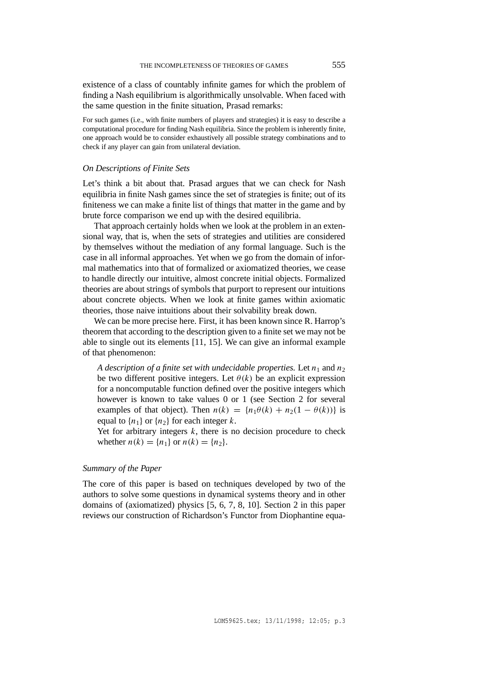existence of a class of countably infinite games for which the problem of finding a Nash equilibrium is algorithmically unsolvable. When faced with the same question in the finite situation, Prasad remarks:

For such games (i.e., with finite numbers of players and strategies) it is easy to describe a computational procedure for finding Nash equilibria. Since the problem is inherently finite, one approach would be to consider exhaustively all possible strategy combinations and to check if any player can gain from unilateral deviation.

#### *On Descriptions of Finite Sets*

Let's think a bit about that. Prasad argues that we can check for Nash equilibria in finite Nash games since the set of strategies is finite; out of its finiteness we can make a finite list of things that matter in the game and by brute force comparison we end up with the desired equilibria.

That approach certainly holds when we look at the problem in an extensional way, that is, when the sets of strategies and utilities are considered by themselves without the mediation of any formal language. Such is the case in all informal approaches. Yet when we go from the domain of informal mathematics into that of formalized or axiomatized theories, we cease to handle directly our intuitive, almost concrete initial objects. Formalized theories are about strings of symbols that purport to represent our intuitions about concrete objects. When we look at finite games within axiomatic theories, those naive intuitions about their solvability break down.

We can be more precise here. First, it has been known since R. Harrop's theorem that according to the description given to a finite set we may not be able to single out its elements [11, 15]. We can give an informal example of that phenomenon:

*A description of a finite set with undecidable properties.* Let  $n_1$  and  $n_2$ be two different positive integers. Let  $\theta(k)$  be an explicit expression for a noncomputable function defined over the positive integers which however is known to take values 0 or 1 (see Section 2 for several examples of that object). Then  $n(k) = {n_1\theta(k) + n_2(1 - \theta(k))}$  is equal to  $\{n_1\}$  or  $\{n_2\}$  for each integer *k*.

Yet for arbitrary integers  $k$ , there is no decision procedure to check whether  $n(k) = \{n_1\}$  or  $n(k) = \{n_2\}.$ 

### *Summary of the Paper*

The core of this paper is based on techniques developed by two of the authors to solve some questions in dynamical systems theory and in other domains of (axiomatized) physics [5, 6, 7, 8, 10]. Section 2 in this paper reviews our construction of Richardson's Functor from Diophantine equa-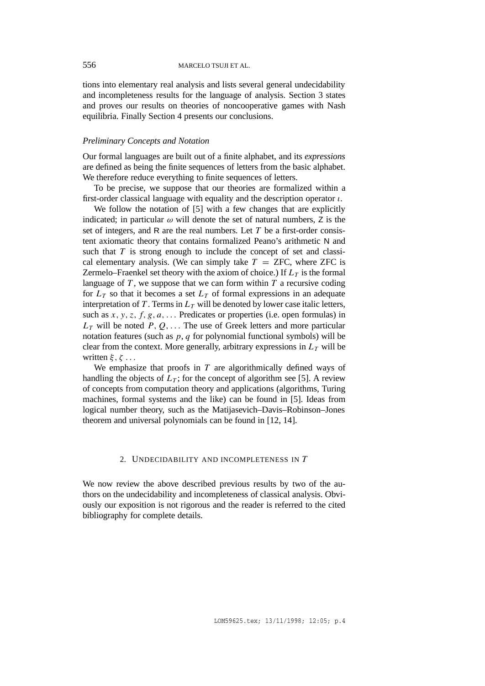tions into elementary real analysis and lists several general undecidability and incompleteness results for the language of analysis. Section 3 states and proves our results on theories of noncooperative games with Nash equilibria. Finally Section 4 presents our conclusions.

### *Preliminary Concepts and Notation*

Our formal languages are built out of a finite alphabet, and its *expressions* are defined as being the finite sequences of letters from the basic alphabet. We therefore reduce everything to finite sequences of letters.

To be precise, we suppose that our theories are formalized within a first-order classical language with equality and the description operator *ι*.

We follow the notation of [5] with a few changes that are explicitly indicated; in particular  $\omega$  will denote the set of natural numbers, Z is the set of integers, and R are the real numbers. Let *T* be a first-order consistent axiomatic theory that contains formalized Peano's arithmetic N and such that *T* is strong enough to include the concept of set and classical elementary analysis. (We can simply take  $T = ZFC$ , where  $ZFC$  is Zermelo–Fraenkel set theory with the axiom of choice.) If  $L<sub>T</sub>$  is the formal language of  $T$ , we suppose that we can form within  $T$  a recursive coding for  $L<sub>T</sub>$  so that it becomes a set  $L<sub>T</sub>$  of formal expressions in an adequate interpretation of *T*. Terms in  $L<sub>T</sub>$  will be denoted by lower case italic letters, such as  $x, y, z, f, g, a, \ldots$  Predicates or properties (i.e. open formulas) in  $L_T$  will be noted  $P, Q, \ldots$  The use of Greek letters and more particular notation features (such as *p*, *q* for polynomial functional symbols) will be clear from the context. More generally, arbitrary expressions in  $L<sub>T</sub>$  will be written *ξ,ζ ...*

We emphasize that proofs in *T* are algorithmically defined ways of handling the objects of  $L_T$ ; for the concept of algorithm see [5]. A review of concepts from computation theory and applications (algorithms, Turing machines, formal systems and the like) can be found in [5]. Ideas from logical number theory, such as the Matijasevich–Davis–Robinson–Jones theorem and universal polynomials can be found in [12, 14].

#### 2. UNDECIDABILITY AND INCOMPLETENESS IN *T*

We now review the above described previous results by two of the authors on the undecidability and incompleteness of classical analysis. Obviously our exposition is not rigorous and the reader is referred to the cited bibliography for complete details.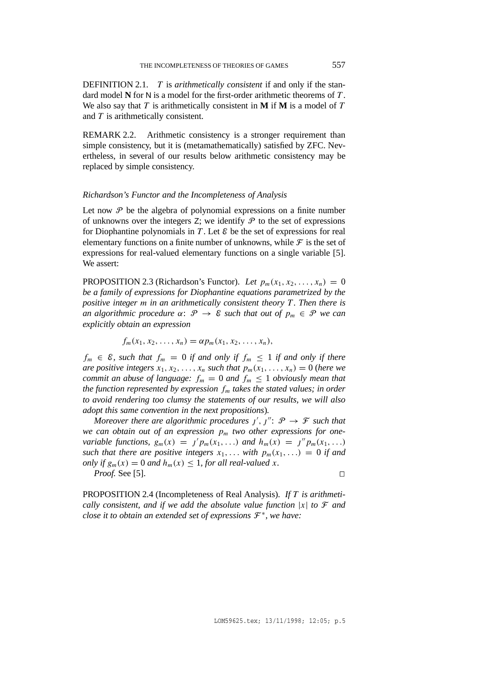DEFINITION 2.1. *T* is *arithmetically consistent* if and only if the standard model **N** for N is a model for the first-order arithmetic theorems of *T* . We also say that *T* is arithmetically consistent in **M** if **M** is a model of *T* and *T* is arithmetically consistent.

REMARK 2.2. Arithmetic consistency is a stronger requirement than simple consistency, but it is (metamathematically) satisfied by ZFC. Nevertheless, in several of our results below arithmetic consistency may be replaced by simple consistency.

### *Richardson's Functor and the Incompleteness of Analysis*

Let now  $P$  be the algebra of polynomial expressions on a finite number of unknowns over the integers  $Z$ ; we identify  $\mathcal P$  to the set of expressions for Diophantine polynomials in  $T$ . Let  $\mathcal E$  be the set of expressions for real elementary functions on a finite number of unknowns, while  $\mathcal F$  is the set of expressions for real-valued elementary functions on a single variable [5]. We assert:

PROPOSITION 2.3 (Richardson's Functor). Let  $p_m(x_1, x_2, \ldots, x_n) = 0$ *be a family of expressions for Diophantine equations parametrized by the positive integer m in an arithmetically consistent theory T . Then there is an algorithmic procedure*  $\alpha$ :  $\mathcal{P} \rightarrow \mathcal{E}$  *such that out of*  $p_m \in \mathcal{P}$  *we can explicitly obtain an expression*

$$
f_m(x_1,x_2,\ldots,x_n)=\alpha p_m(x_1,x_2,\ldots,x_n),
$$

 $f_m \in \mathcal{E}$ , such that  $f_m = 0$  *if and only if*  $f_m \leq 1$  *if and only if there are positive integers*  $x_1, x_2, \ldots, x_n$  *such that*  $p_m(x_1, \ldots, x_n) = 0$  (*here we commit an abuse of language:*  $f_m = 0$  *and*  $f_m \leq 1$  *obviously mean that the function represented by expression fm takes the stated values; in order to avoid rendering too clumsy the statements of our results, we will also adopt this same convention in the next propositions*)*.*

*Moreover there are algorithmic procedures*  $j', j''$ :  $\mathcal{P} \rightarrow \mathcal{F}$  such that *we can obtain out of an expression pm two other expressions for onevariable functions,*  $g_m(x) = f'p_m(x_1, \ldots)$  *and*  $h_m(x) = f''p_m(x_1, \ldots)$ *such that there are positive integers*  $x_1, \ldots$  *with*  $p_m(x_1, \ldots) = 0$  *if and only if*  $g_m(x) = 0$  *and*  $h_m(x) \leq 1$ *, for all real-valued x.* 

*Proof.* See [5]. □

PROPOSITION 2.4 (Incompleteness of Real Analysis). *If T is arithmetically consistent, and if we add the absolute value function*  $|x|$  to  $\mathcal F$  *and close it to obtain an extended set of expressions*  $\mathcal{F}^*$ , we have: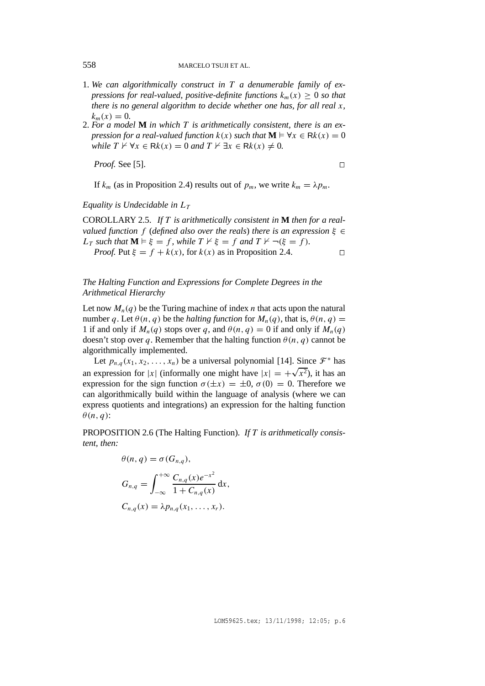- 1. *We can algorithmically construct in T a denumerable family of expressions for real-valued, positive-definite functions*  $k_m(x) \geq 0$  *so that there is no general algorithm to decide whether one has, for all real x,*  $k_m(x) = 0.$ <br>2. *For a model* **M** *in which T is arithmetically consistent, there is an ex-*
- *pression for a real-valued function*  $k(x)$  *such that*  $\mathbf{M} \models \forall x \in \mathsf{R}k(x) = 0$ *while*  $T \nvDash \forall x \in \mathbb{R}$ *k* $(x) = 0$  *and*  $T \nvDash \exists x \in \mathbb{R}$ *k* $(x) \neq 0$ *.*

*Proof.* See [5]. □

If  $k_m$  (as in Proposition 2.4) results out of  $p_m$ , we write  $k_m = \lambda p_m$ .

*Equality is Undecidable in LT*

COROLLARY 2.5. *If T is arithmetically consistent in* **M** *then for a realvalued function f* (*defined also over the reals*) *there is an expression ξ* ∈ *L<sub>T</sub>* such that  $\mathbf{M} \models \xi = f$ , while  $T \not\models \xi = f$  and  $T \not\models \neg (\xi = f)$ .

*Proof.* Put  $\xi = f + k(x)$ , for  $k(x)$  as in Proposition 2.4.

# *The Halting Function and Expressions for Complete Degrees in the Arithmetical Hierarchy*

Let now  $M_n(q)$  be the Turing machine of index *n* that acts upon the natural number *q*. Let  $\theta$ (*n*, *q*) be the *halting function* for  $M_n(q)$ , that is,  $\theta$ (*n*, *q*) = 1 if and only if  $M_n(q)$  stops over q, and  $\theta(n, q) = 0$  if and only if  $M_n(q)$ doesn't stop over *q*. Remember that the halting function  $\theta(n, q)$  cannot be algorithmically implemented.

Let  $p_{n,q}(x_1, x_2, \ldots, x_n)$  be a universal polynomial [14]. Since  $\mathcal{F}^*$  has Let  $p_{n,q}(x_1, x_2, ..., x_n)$  be a universal polynomial [14]. Since  $\mathcal{F}$  has an expression for  $|x|$  (informally one might have  $|x| = +\sqrt{x^2}$ ), it has an expression for the sign function  $\sigma(\pm x) = \pm 0$ ,  $\sigma(0) = 0$ . Therefore we can algorithmically build within the language of analysis (where we can express quotients and integrations) an expression for the halting function *θ (n, q)*:

PROPOSITION 2.6 (The Halting Function). *If T is arithmetically consistent, then:*

$$
\theta(n,q) = \sigma(G_{n,q}),
$$
  
\n
$$
G_{n,q} = \int_{-\infty}^{+\infty} \frac{C_{n,q}(x)e^{-x^2}}{1 + C_{n,q}(x)} dx,
$$
  
\n
$$
C_{n,q}(x) = \lambda p_{n,q}(x_1, \dots, x_r).
$$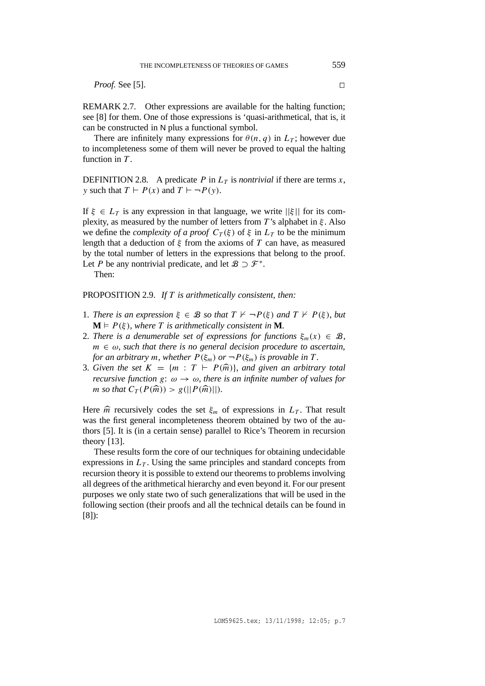*Proof.* See [5]. □

REMARK 2.7. Other expressions are available for the halting function; see [8] for them. One of those expressions is 'quasi-arithmetical, that is, it can be constructed in N plus a functional symbol.

There are infinitely many expressions for  $\theta(n, q)$  in  $L_T$ ; however due to incompleteness some of them will never be proved to equal the halting function in *T* .

DEFINITION 2.8. A predicate *P* in  $L_T$  is *nontrivial* if there are terms *x*, *y* such that  $T \vdash P(x)$  and  $T \vdash \neg P(y)$ .

If  $\xi \in L_T$  is any expression in that language, we write  $||\xi||$  for its complexity, as measured by the number of letters from *T* 's alphabet in *ξ* . Also we define the *complexity of a proof*  $C_T(\xi)$  of  $\xi$  in  $L_T$  to be the minimum length that a deduction of *ξ* from the axioms of *T* can have, as measured by the total number of letters in the expressions that belong to the proof. Let *P* be any nontrivial predicate, and let  $\mathcal{B} \supset \mathcal{F}^*$ .

Then:

PROPOSITION 2.9. *If T is arithmetically consistent, then:*

- 1. *There is an expression*  $\xi \in \mathcal{B}$  *so that*  $T \nvdash \neg P(\xi)$  *and*  $T \nvdash P(\xi)$ *, but*  $M \models P(\xi)$ , where *T* is arithmetically consistent in **M**.
- 2. *There is a denumerable set of expressions for functions*  $\xi_m(x) \in \mathcal{B}$ ,  $m \in \omega$ , such that there is no general decision procedure to ascertain, *for an arbitrary m, whether*  $P(\xi_m)$  *or*  $\neg P(\xi_m)$  *is provable in T*.
- 3. Given the set  $K = \{m : T \vdash P(\widehat{m})\}$ , and given an arbitrary total *recursive function*  $g: \omega \to \omega$ *, there is an infinite number of values for m so that*  $C_T(P(\hat{m})) > g(||P(\hat{m})||)$ *.*

Here  $\hat{m}$  recursively codes the set  $\xi_m$  of expressions in  $L_T$ . That result was the first general incompleteness theorem obtained by two of the authors [5]. It is (in a certain sense) parallel to Rice's Theorem in recursion theory [13].

These results form the core of our techniques for obtaining undecidable expressions in  $L<sub>T</sub>$ . Using the same principles and standard concepts from recursion theory it is possible to extend our theorems to problems involving all degrees of the arithmetical hierarchy and even beyond it. For our present purposes we only state two of such generalizations that will be used in the following section (their proofs and all the technical details can be found in [8]):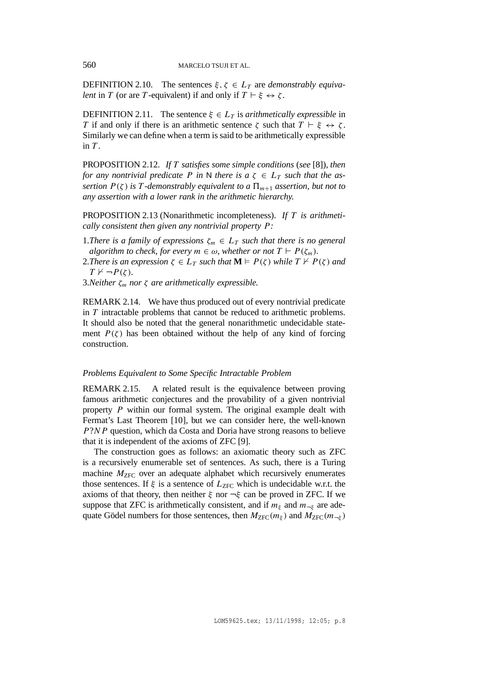DEFINITION 2.10. The sentences  $\xi, \zeta \in L_T$  are *demonstrably equivalent* in *T* (or are *T*-equivalent) if and only if  $T \vdash \xi \leftrightarrow \zeta$ .

DEFINITION 2.11. The sentence  $\xi \in L_T$  is *arithmetically expressible* in *T* if and only if there is an arithmetic sentence  $\zeta$  such that  $T \vdash \xi \leftrightarrow \zeta$ . Similarly we can define when a term is said to be arithmetically expressible in *T* .

PROPOSITION 2.12. *If T satisfies some simple conditions* (*see* [8])*, then for any nontrivial predicate P in* N *there is*  $a \zeta \in L_T$  *such that the assertion*  $P(\zeta)$  *is T -demonstrably equivalent to a*  $\Pi_{m+1}$  *assertion, but not to any assertion with a lower rank in the arithmetic hierarchy.*

PROPOSITION 2.13 (Nonarithmetic incompleteness). *If T is arithmetically consistent then given any nontrivial property P:*

- 1.*There is a family of expressions*  $\zeta_m \in L_T$  *such that there is no general algorithm to check, for every*  $m \in \omega$ *, whether or not*  $T \vdash P(\zeta_m)$ *.*
- 2.*There is an expression*  $\zeta \in L_T$  *such that*  $\mathbf{M} \models P(\zeta)$  *while*  $T \not\models P(\zeta)$  *and*  $T \nvdash \neg P(\zeta)$ *.*
- 3.*Neither ζm nor ζ are arithmetically expressible.*

REMARK 2.14. We have thus produced out of every nontrivial predicate in *T* intractable problems that cannot be reduced to arithmetic problems. It should also be noted that the general nonarithmetic undecidable statement  $P(\zeta)$  has been obtained without the help of any kind of forcing construction.

#### *Problems Equivalent to Some Specific Intractable Problem*

REMARK 2.15. A related result is the equivalence between proving famous arithmetic conjectures and the provability of a given nontrivial property *P* within our formal system. The original example dealt with Fermat's Last Theorem [10], but we can consider here, the well-known *P*?*NP* question, which da Costa and Doria have strong reasons to believe that it is independent of the axioms of ZFC [9].

The construction goes as follows: an axiomatic theory such as ZFC is a recursively enumerable set of sentences. As such, there is a Turing machine *M*<sub>ZFC</sub> over an adequate alphabet which recursively enumerates those sentences. If  $\xi$  is a sentence of  $L_{\text{ZFC}}$  which is undecidable w.r.t. the axioms of that theory, then neither  $\xi$  nor  $\neg \xi$  can be proved in ZFC. If we suppose that ZFC is arithmetically consistent, and if  $m_{\xi}$  and  $m_{-\xi}$  are adequate Gödel numbers for those sentences, then  $M_{ZFC}(m_{\xi})$  and  $M_{ZFC}(m_{-\xi})$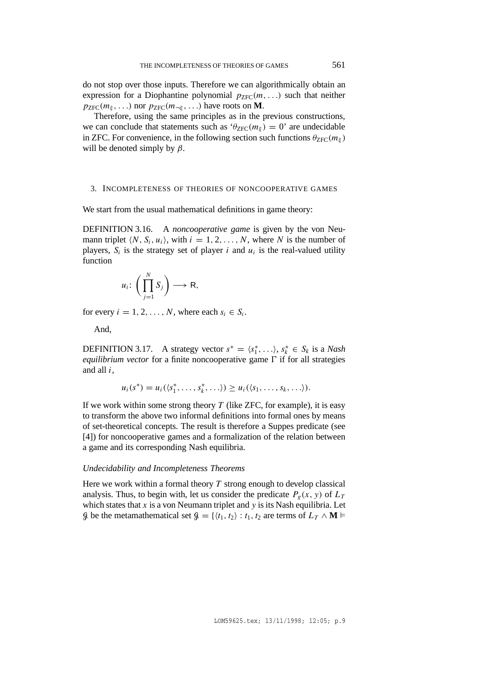do not stop over those inputs. Therefore we can algorithmically obtain an expression for a Diophantine polynomial  $p_{ZFC}(m, ...)$  such that neither  $p_{\text{ZFC}}(m_{\xi}, \ldots)$  nor  $p_{\text{ZFC}}(m_{-\xi}, \ldots)$  have roots on **M**.

Therefore, using the same principles as in the previous constructions, we can conclude that statements such as  $\theta_{ZFC}(m_{\xi}) = 0$ ' are undecidable in ZFC. For convenience, in the following section such functions  $\theta_{\text{ZFC}}(m_{\xi})$ will be denoted simply by *β*.

#### 3. INCOMPLETENESS OF THEORIES OF NONCOOPERATIVE GAMES

We start from the usual mathematical definitions in game theory:

DEFINITION 3.16. A *noncooperative game* is given by the von Neumann triplet  $\langle N, S_i, u_i \rangle$ , with  $i = 1, 2, ..., N$ , where *N* is the number of players,  $S_i$  is the strategy set of player *i* and  $u_i$  is the real-valued utility function

$$
u_i \colon \left(\prod_{j=1}^N S_j\right) \longrightarrow \mathsf{R},
$$

for every  $i = 1, 2, \ldots, N$ , where each  $s_i \in S_i$ .

And,

DEFINITION 3.17. A strategy vector  $s^* = \langle s_1^*, \ldots \rangle$ ,  $s_k^* \in S_k$  is a *Nash equilibrium vector* for a finite noncooperative game  $\Gamma$  if for all strategies and all *i*,

$$
u_i(s^*) = u_i(\langle s_1^*, \ldots, s_k^*, \ldots \rangle) \geq u_i(\langle s_1, \ldots, s_k, \ldots \rangle).
$$

If we work within some strong theory *T* (like ZFC, for example), it is easy to transform the above two informal definitions into formal ones by means of set-theoretical concepts. The result is therefore a Suppes predicate (see [4]) for noncooperative games and a formalization of the relation between a game and its corresponding Nash equilibria.

### *Undecidability and Incompleteness Theorems*

Here we work within a formal theory *T* strong enough to develop classical analysis. Thus, to begin with, let us consider the predicate  $P_g(x, y)$  of  $L_T$ which states that *x* is a von Neumann triplet and *y* is its Nash equilibria. Let  $\mathcal{G}$  be the metamathematical set  $\mathcal{G} = \{ \langle t_1, t_2 \rangle : t_1, t_2 \text{ are terms of } L_T \land \mathbf{M} \models \mathbf{M} \}$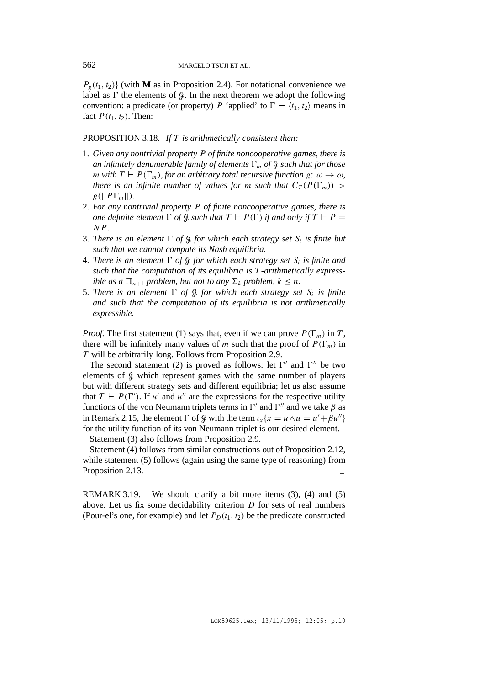$P_g(t_1, t_2)$ } (with **M** as in Proposition 2.4). For notational convenience we label as  $\Gamma$  the elements of  $\mathcal{G}$ . In the next theorem we adopt the following convention: a predicate (or property) *P* 'applied' to  $\Gamma = \langle t_1, t_2 \rangle$  means in fact  $P(t_1, t_2)$ . Then:

PROPOSITION 3.18. *If T is arithmetically consistent then:*

- 1. *Given any nontrivial property P of finite noncooperative games, there is an infinitely denumerable family of elements*  $\Gamma_m$  *of*  $\mathcal{G}$  *such that for those m* with  $T \vdash P(\Gamma_m)$ *, for an arbitrary total recursive function*  $g: \omega \to \omega$ *<i>, there is an infinite number of values for m such that*  $C_T(P(\Gamma_m)) >$  $g(||P\Gamma_m||)$ .
- 2. *For any nontrivial property P of finite noncooperative games, there is one definite element*  $\Gamma$  *of*  $\mathcal{G}$  *such that*  $T \vdash P(\Gamma)$  *if and only if*  $T \vdash P =$ *NP.*
- 3. *There is an element*  $\Gamma$  *of*  $\mathcal{G}$  *for which each strategy set*  $S_i$  *is finite but such that we cannot compute its Nash equilibria.*
- 4. There is an element  $\Gamma$  of  $\mathcal{G}$  for which each strategy set  $S_i$  is finite and *such that the computation of its equilibria is T -arithmetically expressible as a*  $\Pi_{n+1}$  *problem, but not to any*  $\Sigma_k$  *problem,*  $k \leq n$ *.*
- 5. There is an element  $\Gamma$  of  $\mathcal{G}$  for which each strategy set  $S_i$  is finite *and such that the computation of its equilibria is not arithmetically expressible.*

*Proof.* The first statement (1) says that, even if we can prove  $P(\Gamma_m)$  in T, there will be infinitely many values of *m* such that the proof of  $P(\Gamma_m)$  in *T* will be arbitrarily long. Follows from Proposition 2.9.

The second statement (2) is proved as follows: let  $\Gamma'$  and  $\Gamma''$  be two elements of  $\beta$  which represent games with the same number of players but with different strategy sets and different equilibria; let us also assume that  $T \vdash P(\Gamma')$ . If *u'* and *u''* are the expressions for the respective utility functions of the von Neumann triplets terms in  $\Gamma'$  and  $\Gamma''$  and we take  $\beta$  as in Remark 2.15, the element  $\Gamma$  of  $\hat{g}$  with the term  $\iota_x\{x = u \wedge u = u' + \beta u''\}$ for the utility function of its von Neumann triplet is our desired element.

Statement (3) also follows from Proposition 2.9.

Statement (4) follows from similar constructions out of Proposition 2.12, while statement (5) follows (again using the same type of reasoning) from Proposition 2.13.  $\Box$ 

REMARK 3.19. We should clarify a bit more items (3), (4) and (5) above. Let us fix some decidability criterion *D* for sets of real numbers (Pour-el's one, for example) and let  $P_D(t_1, t_2)$  be the predicate constructed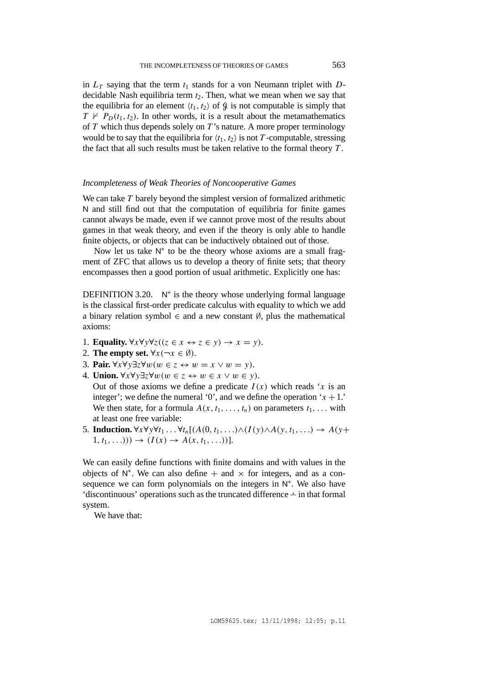in  $L_T$  saying that the term  $t_1$  stands for a von Neumann triplet with *D*decidable Nash equilibria term  $t_2$ . Then, what we mean when we say that the equilibria for an element  $\langle t_1, t_2 \rangle$  of G is not computable is simply that  $T \nvdash P_D(t_1, t_2)$ . In other words, it is a result about the metamathematics of *T* which thus depends solely on *T* 's nature. A more proper terminology would be to say that the equilibria for  $\langle t_1, t_2 \rangle$  is not *T* -computable, stressing the fact that all such results must be taken relative to the formal theory *T* .

### *Incompleteness of Weak Theories of Noncooperative Games*

We can take *T* barely beyond the simplest version of formalized arithmetic N and still find out that the computation of equilibria for finite games cannot always be made, even if we cannot prove most of the results about games in that weak theory, and even if the theory is only able to handle finite objects, or objects that can be inductively obtained out of those.

Now let us take  $N^*$  to be the theory whose axioms are a small fragment of ZFC that allows us to develop a theory of finite sets; that theory encompasses then a good portion of usual arithmetic. Explicitly one has:

DEFINITION 3.20.  $N^*$  is the theory whose underlying formal language is the classical first-order predicate calculus with equality to which we add a binary relation symbol  $\in$  and a new constant  $\emptyset$ , plus the mathematical axioms:

- 1. **Equality.**  $\forall x \forall y \forall z ((z \in x \leftrightarrow z \in y) \rightarrow x = y)$ .
- 2. **The empty set.**  $\forall x (\neg x \in \emptyset)$ .
- 3. **Pair.**  $\forall x \forall y \exists z \forall w (w \in z \leftrightarrow w = x \lor w = y)$ .
- 4. **Union.**  $\forall x \forall y \exists z \forall w (w \in z \leftrightarrow w \in x \lor w \in y)$ . Out of those axioms we define a predicate  $I(x)$  which reads '*x* is an integer'; we define the numeral '0', and we define the operation ' $x + 1$ .' We then state, for a formula  $A(x, t_1, \ldots, t_n)$  on parameters  $t_1, \ldots$  with at least one free variable:
- 5. **Induction.**∀ $x$ ∀ $y$ ∀ $t_1$ ...∀ $t_n$ [ $(A(0, t_1, \ldots) \wedge (I(y) \wedge A(y, t_1, \ldots) \rightarrow A(y+$  $(1, t_1, \ldots)) \rightarrow (I(x) \rightarrow A(x, t_1, \ldots))$ ].

We can easily define functions with finite domains and with values in the objects of  $N^*$ . We can also define  $+$  and  $\times$  for integers, and as a consequence we can form polynomials on the integers in N<sup>∗</sup>. We also have 'discontinuous' operations such as the truncated difference−*·* in that formal system.

We have that: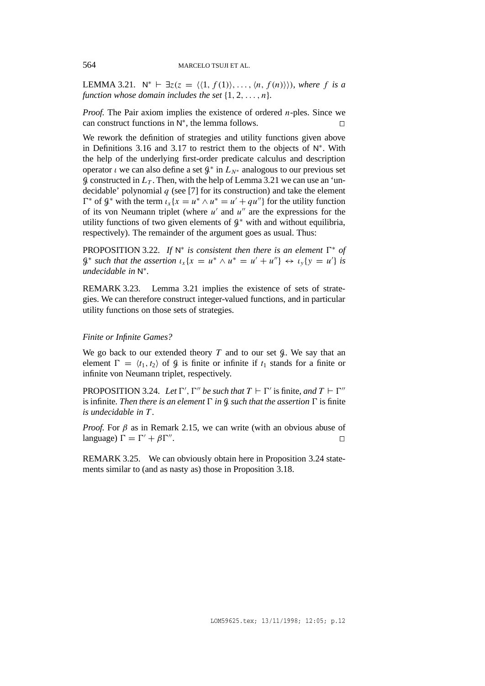LEMMA 3.21.  $N^*$  ⊢ ∃z(z =  $\langle \langle 1, f(1) \rangle, ..., \langle n, f(n) \rangle \rangle$ )*, where f* is a *function whose domain includes the set* {1*,* 2*,...,n*}*.*

*Proof.* The Pair axiom implies the existence of ordered *n*-ples. Since we can construct functions in  $N^*$ , the lemma follows.

We rework the definition of strategies and utility functions given above in Definitions 3.16 and 3.17 to restrict them to the objects of N<sup>∗</sup>. With the help of the underlying first-order predicate calculus and description operator *ι* we can also define a set  $\mathcal{G}^*$  in  $L_{N^*}$  analogous to our previous set  $\beta$  constructed in  $L<sub>T</sub>$ . Then, with the help of Lemma 3.21 we can use an 'undecidable' polynomial *q* (see [7] for its construction) and take the element  $\Gamma^*$  of  $\mathcal{G}^*$  with the term  $\iota_x\{x = u^* \wedge u^* = u' + qu''\}$  for the utility function of its von Neumann triplet (where  $u'$  and  $u''$  are the expressions for the utility functions of two given elements of  $\mathcal{G}^*$  with and without equilibria, respectively). The remainder of the argument goes as usual. Thus:

**PROPOSITION** 3.22. *If*  $N^*$  *is consistent then there is an element*  $\Gamma^*$  *of*  $\mathcal{G}^*$  *such that the assertion*  $\iota_x\{x = u^* \wedge u^* = u' + u''\} \leftrightarrow \iota_y\{y = u'\}$  *is undecidable in* N<sup>∗</sup>*.*

REMARK 3.23. Lemma 3.21 implies the existence of sets of strategies. We can therefore construct integer-valued functions, and in particular utility functions on those sets of strategies.

### *Finite or Infinite Games?*

We go back to our extended theory  $T$  and to our set  $\mathcal{G}$ . We say that an element  $\Gamma = \langle t_1, t_2 \rangle$  of  $\mathcal{G}$  is finite or infinite if  $t_1$  stands for a finite or infinite von Neumann triplet, respectively.

**PROPOSITION** 3.24. *Let*  $\Gamma'$ ,  $\Gamma''$  *be such that*  $T \vdash \Gamma'$  *is finite, and*  $T \vdash \Gamma''$ is infinite. Then there is an element  $\Gamma$  in  $\mathcal{G}$  such that the assertion  $\Gamma$  is finite *is undecidable in T .*

*Proof.* For *β* as in Remark 2.15, we can write (with an obvious abuse of  $\text{language)}$   $\Gamma = \Gamma' + \beta \Gamma''$ .

REMARK 3.25. We can obviously obtain here in Proposition 3.24 statements similar to (and as nasty as) those in Proposition 3.18.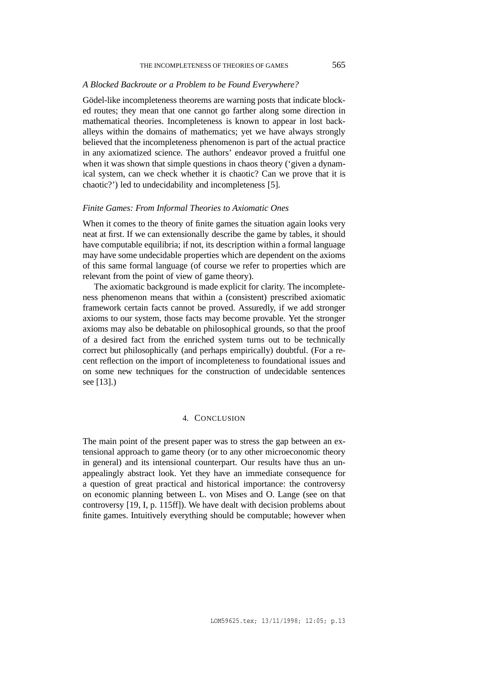### *A Blocked Backroute or a Problem to be Found Everywhere?*

Gödel-like incompleteness theorems are warning posts that indicate blocked routes; they mean that one cannot go farther along some direction in mathematical theories. Incompleteness is known to appear in lost backalleys within the domains of mathematics; yet we have always strongly believed that the incompleteness phenomenon is part of the actual practice in any axiomatized science. The authors' endeavor proved a fruitful one when it was shown that simple questions in chaos theory ('given a dynamical system, can we check whether it is chaotic? Can we prove that it is chaotic?') led to undecidability and incompleteness [5].

### *Finite Games: From Informal Theories to Axiomatic Ones*

When it comes to the theory of finite games the situation again looks very neat at first. If we can extensionally describe the game by tables, it should have computable equilibria; if not, its description within a formal language may have some undecidable properties which are dependent on the axioms of this same formal language (of course we refer to properties which are relevant from the point of view of game theory).

The axiomatic background is made explicit for clarity. The incompleteness phenomenon means that within a (consistent) prescribed axiomatic framework certain facts cannot be proved. Assuredly, if we add stronger axioms to our system, those facts may become provable. Yet the stronger axioms may also be debatable on philosophical grounds, so that the proof of a desired fact from the enriched system turns out to be technically correct but philosophically (and perhaps empirically) doubtful. (For a recent reflection on the import of incompleteness to foundational issues and on some new techniques for the construction of undecidable sentences see [13].)

#### 4. CONCLUSION

The main point of the present paper was to stress the gap between an extensional approach to game theory (or to any other microeconomic theory in general) and its intensional counterpart. Our results have thus an unappealingly abstract look. Yet they have an immediate consequence for a question of great practical and historical importance: the controversy on economic planning between L. von Mises and O. Lange (see on that controversy [19, I, p. 115ff]). We have dealt with decision problems about finite games. Intuitively everything should be computable; however when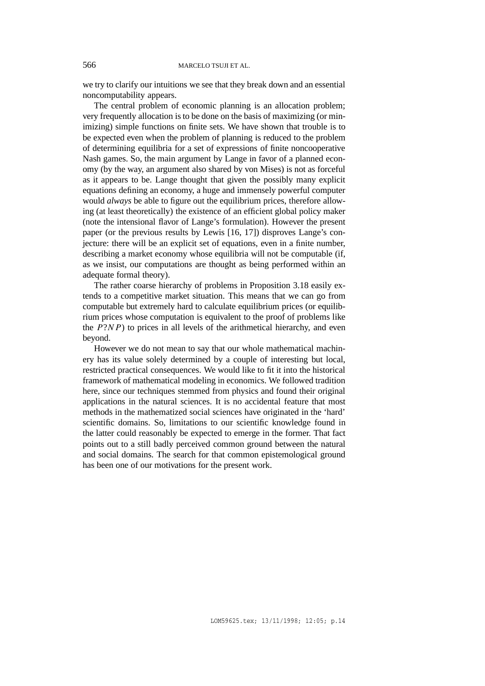we try to clarify our intuitions we see that they break down and an essential noncomputability appears.

The central problem of economic planning is an allocation problem; very frequently allocation is to be done on the basis of maximizing (or minimizing) simple functions on finite sets. We have shown that trouble is to be expected even when the problem of planning is reduced to the problem of determining equilibria for a set of expressions of finite noncooperative Nash games. So, the main argument by Lange in favor of a planned economy (by the way, an argument also shared by von Mises) is not as forceful as it appears to be. Lange thought that given the possibly many explicit equations defining an economy, a huge and immensely powerful computer would *always* be able to figure out the equilibrium prices, therefore allowing (at least theoretically) the existence of an efficient global policy maker (note the intensional flavor of Lange's formulation). However the present paper (or the previous results by Lewis [16, 17]) disproves Lange's conjecture: there will be an explicit set of equations, even in a finite number, describing a market economy whose equilibria will not be computable (if, as we insist, our computations are thought as being performed within an adequate formal theory).

The rather coarse hierarchy of problems in Proposition 3.18 easily extends to a competitive market situation. This means that we can go from computable but extremely hard to calculate equilibrium prices (or equilibrium prices whose computation is equivalent to the proof of problems like the  $P<sup>2</sup>NP$ ) to prices in all levels of the arithmetical hierarchy, and even beyond.

However we do not mean to say that our whole mathematical machinery has its value solely determined by a couple of interesting but local, restricted practical consequences. We would like to fit it into the historical framework of mathematical modeling in economics. We followed tradition here, since our techniques stemmed from physics and found their original applications in the natural sciences. It is no accidental feature that most methods in the mathematized social sciences have originated in the 'hard' scientific domains. So, limitations to our scientific knowledge found in the latter could reasonably be expected to emerge in the former. That fact points out to a still badly perceived common ground between the natural and social domains. The search for that common epistemological ground has been one of our motivations for the present work.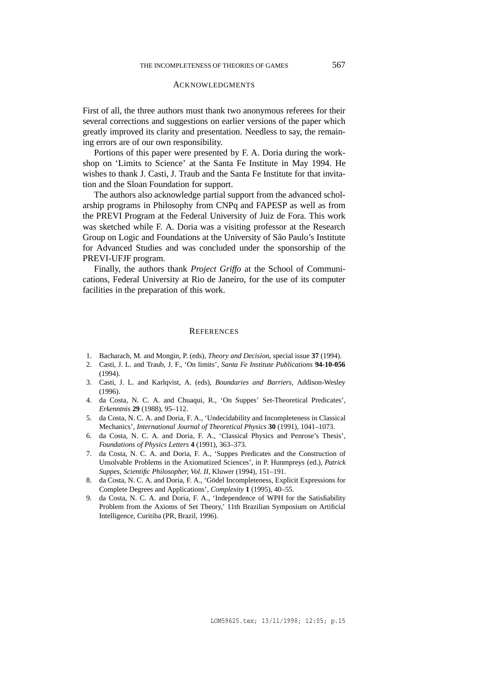#### ACKNOWLEDGMENTS

First of all, the three authors must thank two anonymous referees for their several corrections and suggestions on earlier versions of the paper which greatly improved its clarity and presentation. Needless to say, the remaining errors are of our own responsibility.

Portions of this paper were presented by F. A. Doria during the workshop on 'Limits to Science' at the Santa Fe Institute in May 1994. He wishes to thank J. Casti, J. Traub and the Santa Fe Institute for that invitation and the Sloan Foundation for support.

The authors also acknowledge partial support from the advanced scholarship programs in Philosophy from CNPq and FAPESP as well as from the PREVI Program at the Federal University of Juiz de Fora. This work was sketched while F. A. Doria was a visiting professor at the Research Group on Logic and Foundations at the University of São Paulo's Institute for Advanced Studies and was concluded under the sponsorship of the PREVI-UFJF program.

Finally, the authors thank *Project Griffo* at the School of Communications, Federal University at Rio de Janeiro, for the use of its computer facilities in the preparation of this work.

#### **REFERENCES**

- 1. Bacharach, M. and Mongin, P. (eds), *Theory and Decision*, special issue **37** (1994).
- 2. Casti, J. L. and Traub, J. F., 'On limits', *Santa Fe Institute Publications* **94-10-056** (1994).
- 3. Casti, J. L. and Karlqvist, A. (eds), *Boundaries and Barriers*, Addison-Wesley (1996).
- 4. da Costa, N. C. A. and Chuaqui, R., 'On Suppes' Set-Theoretical Predicates', *Erkenntnis* **29** (1988), 95–112.
- 5. da Costa, N. C. A. and Doria, F. A., 'Undecidability and Incompleteness in Classical Mechanics', *International Journal of Theoretical Physics* **30** (1991), 1041–1073.
- 6. da Costa, N. C. A. and Doria, F. A., 'Classical Physics and Penrose's Thesis', *Foundations of Physics Letters* **4** (1991), 363–373.
- 7. da Costa, N. C. A. and Doria, F. A., 'Suppes Predicates and the Construction of Unsolvable Problems in the Axiomatized Sciences', in P. Hunmpreys (ed.), *Patrick Suppes, Scientific Philosopher, Vol. II*, Kluwer (1994), 151–191.
- 8. da Costa, N. C. A. and Doria, F. A., 'Gödel Incompleteness, Explicit Expressions for Complete Degrees and Applications', *Complexity* **1** (1995), 40–55.
- 9. da Costa, N. C. A. and Doria, F. A., 'Independence of WPH for the Satisfiability Problem from the Axioms of Set Theory,' 11th Brazilian Symposium on Artificial Intelligence, Curitiba (PR, Brazil, 1996).